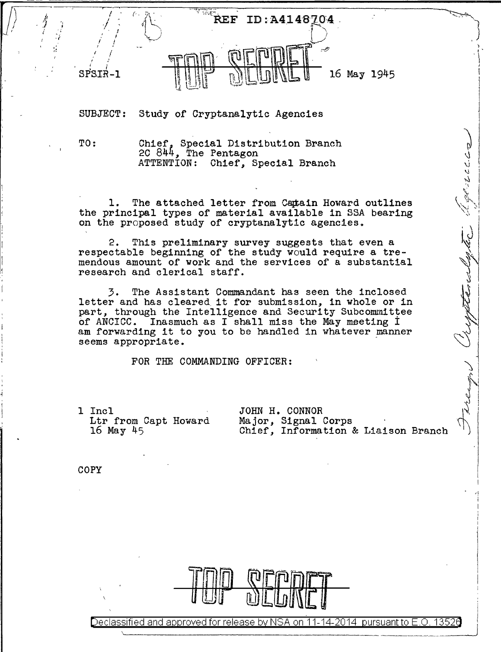

SUBJECT: Study of Cryptanalytic Agencies

I

TO: Chief, Special Distribution Branch 2C 844, The Pentagon<br>ATTENTION: Chief, Special Branch

1. The attached letter from Catain Howard outlines the principal types of material available in SSA bearing on the proposed study of cryptanalytic agencies.

2. This preliminary survey suggests that even a respectable beginning of the study would require a tremendous amount of work and the services of a substantial research and clerical staff.

3. The Assistant Commandant has seen the inclosed letter and has cleared it for submission, in whole or in part, through the Intelligence and Security Subcommittee of ANCICC. Inasmuch as I shall miss the May meeting I am forwarding it to you to be handled in whatever manner seems appropriate.

FOR THE COMMANDING OFFICER:

<sup>1</sup>Incl Ltr from Capt Howard 16 May 45

JOHN H. CONNOR Major, Signal Corps Chief, Information & Liaison Branch

i  $\cdot \int_0^1$ ; I

نی پوس - می ث ت ت - ت

teredyke il

,1 i I

COPY



Declassified and approved for release by NSA on 11-14-2014 pursuant to E.O.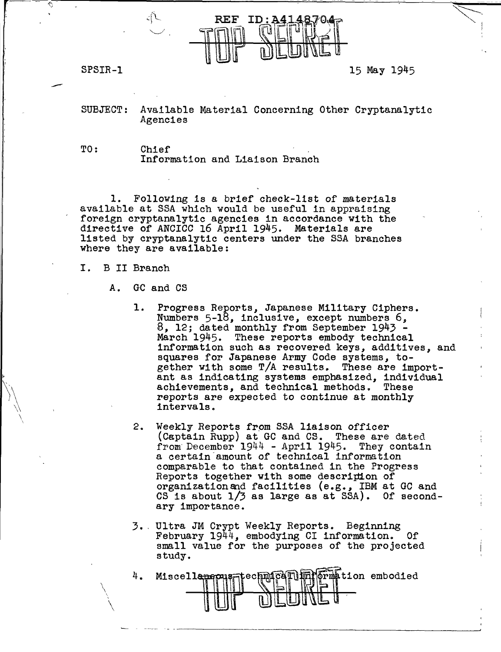

 $\left\langle \cdot\right\rangle$  , and the constraint of the constraint of the constraint of the constraint of  $\left\langle \cdot\right\rangle$  ,  $\left\langle \cdot\right\rangle$ 

SPSIR-1 15 May 1945

~~

I I ' •,

SUBJECT: Available Material Concerning Other Cryptanalytic Agencies

TO: Chief<br>Information and Liaison Branch

1. Following is a brief check-list of materials available at SSA which would be useful in appraising foreign cryptanalytic agencies in accordance with the directive of ANCICC 16 April 1945. Materials are listed by cryptanalytic centers under the SSA branches where they are available:

## I. B II Branch

 $\bigwedge$ 

' \

- A. GC and CS
	- 1. Progress Reports, Japanese Military Ciphers.<br>Numbers 5-18, inclusive, except numbers 6,<br>8, 12; dated monthly from September 1943 -<br>March 1945. These reports embody technical information such as recovered keys, additives, and squares for Japanese Army Code systems, together with some T/A results. These are important as indicating systems emphasized, individual achievements, and technical methods. reports are expected to continue at monthly intervals.
	- 2. Weekly Reports from SSA liaison officer (Captain Rupp) at GC and CS. These are dated from December 1944 - April 1945. They contain a certain amount of technical information comparable to that contained in the Progress Reports together with some descripion of organizationand facilities {e.g., IBM at GC and CS is about  $1/3$  as large as at SSA). Of secondary importance.
	- 3. ' Ultra JM Crypt Weekly Reports. Beginning February 1944, embodying CI information. Of small value for the purposes of the projected study.

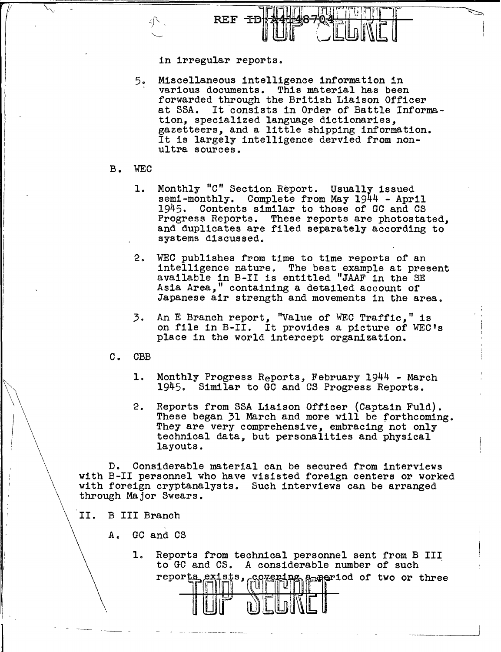

in irregular reports.

- 5. Miscellaneous intelligence information in various documents. This material has been forwarded through the British Liaison Officer at SSA. It consists in Order of Battle Information, specialized language dictionaries, gazetteers, and a little shipping information. It is largely intelligence dervied from nonultra sources.
- B. WEC

 $\int$ 

 $\bigwedge$ 

 $\mathbf{I}$ 

- 1. Monthly "C" Section Report. Usually issued<br>semi-monthly. Complete from May 1944 - April 1945. Contents similar to those of GC and CS Progress Reports. These reports are photostated, and duplicates are filed separately according to systems discussed.
- $2.$ WEC publishes from time to time reports of an intelligence nature. The best example at present available in B-II is entitled "JAAF in the SE Asia Area," containing a detailed account of Japanese air strength and movements in the area.
- 3. An E Branch report, "Value of WEC Traffic," is on file in B-II. It provides a picture of WEC's place in the world intercept organization.
- C. CBB
	- 1. Monthly Progress Reports, February 1944 March 1945. Similar to GC and CS Progress Reports.
	- 2. Reports from SSA Liaison Officer (Captain Fuld). These began 31 March and more will be forthcoming. They are very comprehensive, embracing not only technical data, but personalities and physical layouts.

D. Considerable material can be secured from interviews with B-II personnel who have visisted foreign centers or worked with foreign cryptanalysts. Such interviews can be arranged through Major Swears.

- II. B III Branch
	- A. GC and CS
		- 1. Reports from technical personnel sent from B III to GC and CS. A considerable number of such reports exists, covering a period of two or three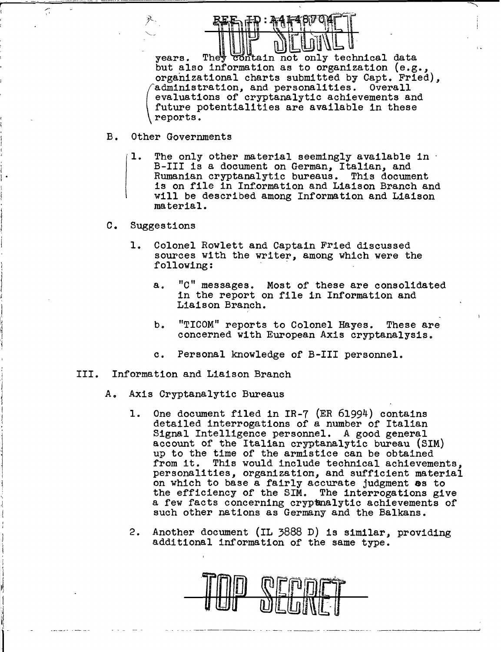years. They contain not only technical data but also information as to organization (e.g., organizational charts submitted by Capt. Fried), administration, and personalities. Overall evaluations of cryptanalytic achievements and future potentialities are available in these reports.

## B. Other Governments

(

- 1. The only other material seemingly available in · B-III is a document on German, Italian, and Rumanian cryptanalytic bureaus. This document is on file in Information and Liaison Branch and will be described among Information and Liaison material.
- c. Suggestions

 $\mathbf{I}$  •

,.-  $\mathcal{L}_{\mathcal{L}}$ 

 $\mathbf{I}$  $\frac{1}{2}$  $\vert$ i l י<br>ג' *!*  '<br>।

- 1. Colonel Rowlett and Captain Fried discussed sources with the writer, among which were the following:
	- a. "C" messages. Most of these are consolidated in the report on file in Information and Liaison Branch.
	- b. "TICOM" reports to Colonel Hayes. These are concerned with European Axis cryptanalysis.
	- c. Personal knowledge of B-III personnel.
- III. Information and Liaison Branch
	- A. Axis Cryptanalytic Bureaus
		- 1. One document filed in IR-7 (ER 61994) contains detailed interrogations of a number of Italian Signal Intelligence personnel. A good general account of the Italian cryptanalytic bureau (SIM) up to the time of the armistice can be obtained from it. This would include technical achievements, personalities, organization, and sufficient material on which to base a fairly accurate judgment as to the efficiency of the SIM. The interrogations give a few facts concerning cryptmalytic achievements of such other nations as Germany and the Balkans.
		- 2. Another document (IL 3888 D) is similar, providing additional information of the same type.

-~-------- - ---- ------ --------- ----------~

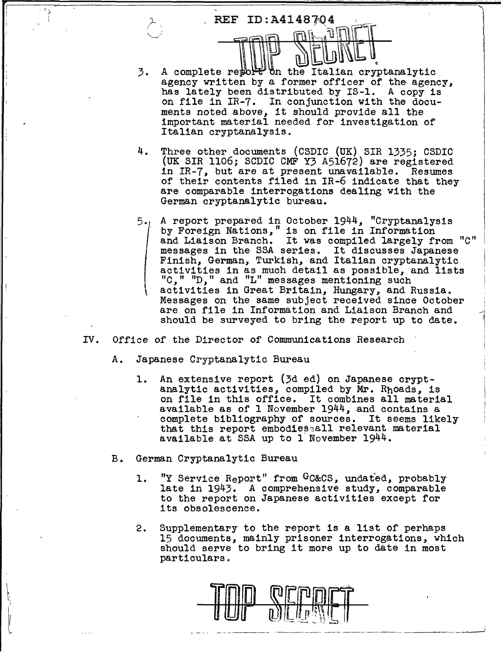

- 3. A complete report on the Italian cryptanalytic agency written by a former officer of the agency, has lately been distributed by IS-1. A copy is on file in IR-7. In conjunction with the documents noted above, it should provide all the important material needed for investigation of Italian cryptanalysis.
- 4. Three other documents (CSDIC (UK) SIR 1335; CSDIC (UK SIR 1106; SCDIC CMF Y3 A51672) are registered in IR-7, but are at present unavailable. Resumes of their contents filed in IR-6 indicate that they are comparable interrogations dealing with the German cryptanalytic bureau.
- 5.  $\vert$ A report prepared in October 1944, "Cryptanalysis<br>by Foreign Nations," is on file in Information and Liaison Branch. It was compiled largely from "C" messages in the SSA series. It discusses Japanese Finish, German, Turkish, and Italian cryptanalytic activities in as much detail as possible, and lists *"C," "D,"* and "L" messages mentioning such activities in Great Britain, Hungary, and Russia. Messages on the same subject received since October are on file in Information and Liaison Branch and should be surveyed to bring the report up to date.

.-el 1 '<br>(

- IV. Office of the Director of Communications Research
	- A. Japanese Cryptanalytic Bureau

I' I

- 1. An extensive report {3d ed) on Japanese crypt- analytic activities, compiled by Mr. Rhoads, is on file in this office. It combines all material available as of 1 November 1944, and contains a complete bibliography of sources. It seems likely that this report embodiessall relevant material available at SSA up to 1 November 1944.
- B. German Cryptanalytic Bureau
	- 1. "Y Service Report" from GC&CS, undated, probably<br>late in 1943. A comprehensive study, comparable to the report on Japanese activities except for its obsolescence.
	- 2. Supplementary to the report is a list of perhaps 15 documents, mainly prisoner interrogations, which should serve to bring it more up to date in most particulars.